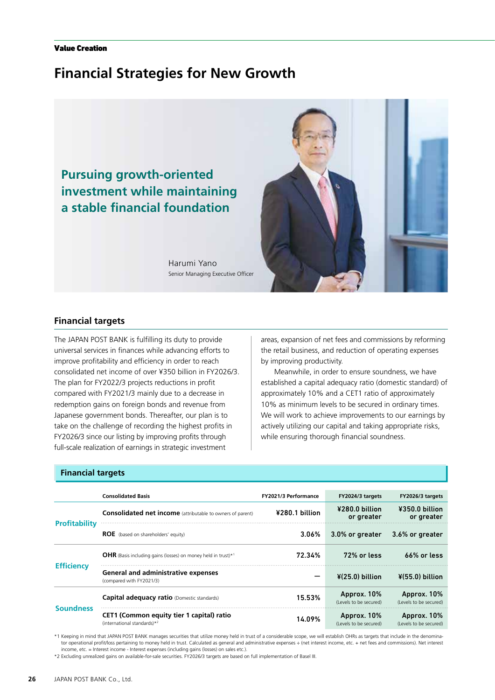#### Value Creation

# **Financial Strategies for New Growth**



# **Financial targets**

The JAPAN POST BANK is fulfilling its duty to provide universal services in finances while advancing efforts to improve profitability and efficiency in order to reach consolidated net income of over ¥350 billion in FY2026/3. The plan for FY2022/3 projects reductions in profit compared with FY2021/3 mainly due to a decrease in redemption gains on foreign bonds and revenue from Japanese government bonds. Thereafter, our plan is to take on the challenge of recording the highest profits in FY2026/3 since our listing by improving profits through full-scale realization of earnings in strategic investment

areas, expansion of net fees and commissions by reforming the retail business, and reduction of operating expenses by improving productivity.

Meanwhile, in order to ensure soundness, we have established a capital adequacy ratio (domestic standard) of approximately 10% and a CET1 ratio of approximately 10% as minimum levels to be secured in ordinary times. We will work to achieve improvements to our earnings by actively utilizing our capital and taking appropriate risks, while ensuring thorough financial soundness.

### **Financial targets**

|                      | <b>Consolidated Basis</b>                                                           | FY2021/3 Performance | FY2024/3 targets                      | FY2026/3 targets                      |
|----------------------|-------------------------------------------------------------------------------------|----------------------|---------------------------------------|---------------------------------------|
| <b>Profitability</b> | <b>Consolidated net income</b> (attributable to owners of parent)                   | ¥280.1 billion       | ¥280.0 billion<br>or greater          | ¥350.0 billion<br>or greater          |
|                      | <b>ROE</b> (based on shareholders' equity)                                          | $3.06\%$             | 3.0% or greater                       | 3.6% or greater                       |
| <b>Efficiency</b>    | <b>OHR</b> (Basis including gains (losses) on money held in trust) <sup>*1</sup>    | 72.34%               | 72% or less                           | $66\%$ or less                        |
|                      | <b>General and administrative expenses</b><br>(compared with FY2021/3)              |                      | $*(25.0)$ billion                     | $*(55.0)$ billion                     |
| <b>Soundness</b>     | <b>Capital adequacy ratio (Domestic standards)</b>                                  | 15.53%               | Approx. 10%<br>(Levels to be secured) | Approx. 10%<br>(Levels to be secured) |
|                      | <b>CET1 (Common equity tier 1 capital) ratio</b><br>(international standards) $*^2$ | 14.09%               | Approx. 10%<br>(Levels to be secured) | Approx. 10%<br>(Levels to be secured) |

\*1 Keeping in mind that JAPAN POST BANK manages securities that utilize money held in trust of a considerable scope, we will establish OHRs as targets that include in the denominator operational profit/loss pertaining to money held in trust. Calculated as general and administrative expenses ÷ (net interest income, etc. + net fees and commissions). Net interest income, etc. = Interest income - Interest expenses (including gains (losses) on sales etc.).

\*2 Excluding unrealized gains on available-for-sale securities. FY2026/3 targets are based on full implementation of Basel III.